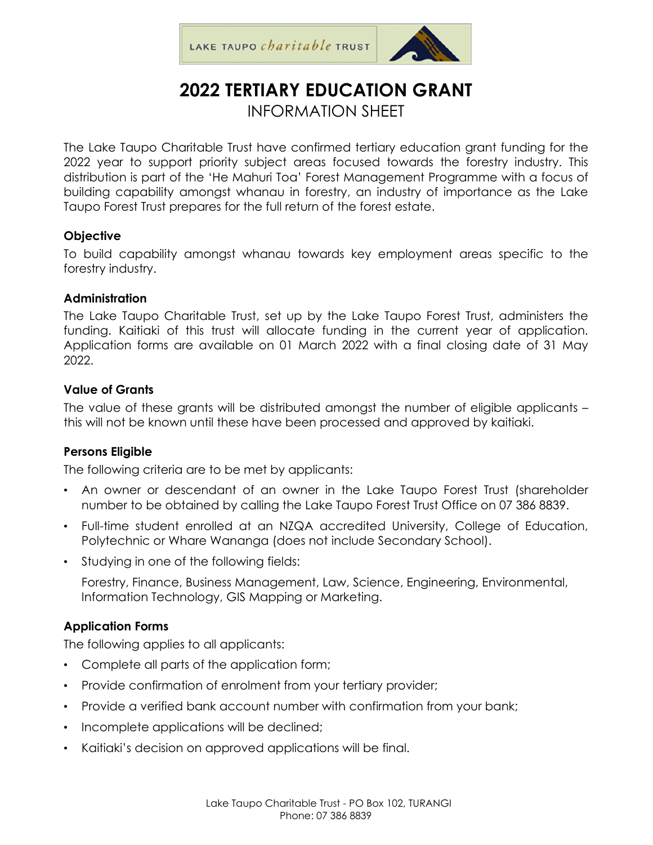

# **2022 TERTIARY EDUCATION GRANT**  INFORMATION SHEET

The Lake Taupo Charitable Trust have confirmed tertiary education grant funding for the 2022 year to support priority subject areas focused towards the forestry industry. This distribution is part of the 'He Mahuri Toa' Forest Management Programme with a focus of building capability amongst whanau in forestry, an industry of importance as the Lake Taupo Forest Trust prepares for the full return of the forest estate.

#### **Objective**

To build capability amongst whanau towards key employment areas specific to the forestry industry.

#### **Administration**

The Lake Taupo Charitable Trust, set up by the Lake Taupo Forest Trust, administers the funding. Kaitiaki of this trust will allocate funding in the current year of application. Application forms are available on 01 March 2022 with a final closing date of 31 May 2022.

#### **Value of Grants**

The value of these grants will be distributed amongst the number of eligible applicants – this will not be known until these have been processed and approved by kaitiaki.

## **Persons Eligible**

The following criteria are to be met by applicants:

- An owner or descendant of an owner in the Lake Taupo Forest Trust (shareholder number to be obtained by calling the Lake Taupo Forest Trust Office on 07 386 8839.
- Full-time student enrolled at an NZQA accredited University, College of Education, Polytechnic or Whare Wananga (does not include Secondary School).
- Studying in one of the following fields:

Forestry, Finance, Business Management, Law, Science, Engineering, Environmental, Information Technology, GIS Mapping or Marketing.

## **Application Forms**

The following applies to all applicants:

- Complete all parts of the application form;
- Provide confirmation of enrolment from your tertiary provider;
- Provide a verified bank account number with confirmation from your bank;
- Incomplete applications will be declined;
- Kaitiaki's decision on approved applications will be final.